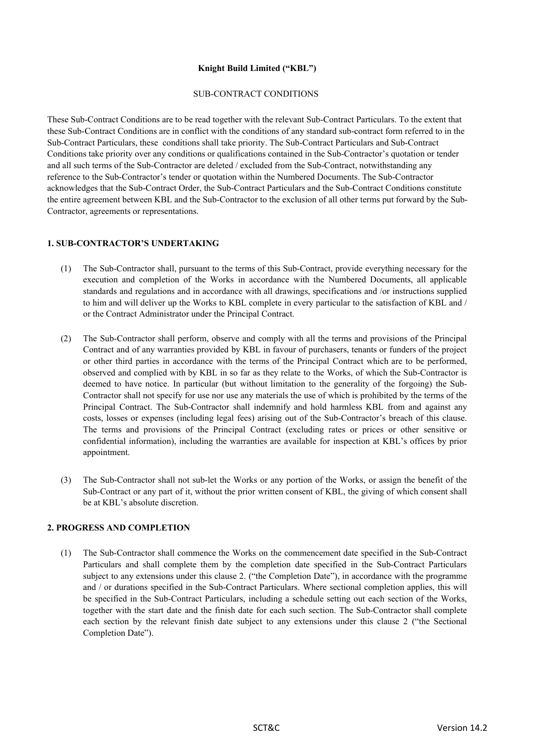# **Knight Build Limited ("KBL")**

## SUB-CONTRACT CONDITIONS

These Sub-Contract Conditions are to be read together with the relevant Sub-Contract Particulars. To the extent that these Sub-Contract Conditions are in conflict with the conditions of any standard sub-contract form referred to in the Sub-Contract Particulars, these conditions shall take priority. The Sub-Contract Particulars and Sub-Contract Conditions take priority over any conditions or qualifications contained in the Sub-Contractor's quotation or tender and all such terms of the Sub-Contractor are deleted / excluded from the Sub-Contract, notwithstanding any reference to the Sub-Contractor's tender or quotation within the Numbered Documents. The Sub-Contractor acknowledges that the Sub-Contract Order, the Sub-Contract Particulars and the Sub-Contract Conditions constitute the entire agreement between KBL and the Sub-Contractor to the exclusion of all other terms put forward by the Sub-Contractor, agreements or representations.

## **1. SUB-CONTRACTOR'S UNDERTAKING**

- (1) The Sub-Contractor shall, pursuant to the terms of this Sub-Contract, provide everything necessary for the execution and completion of the Works in accordance with the Numbered Documents, all applicable standards and regulations and in accordance with all drawings, specifications and /or instructions supplied to him and will deliver up the Works to KBL complete in every particular to the satisfaction of KBL and / or the Contract Administrator under the Principal Contract.
- (2) The Sub-Contractor shall perform, observe and comply with all the terms and provisions of the Principal Contract and of any warranties provided by KBL in favour of purchasers, tenants or funders of the project or other third parties in accordance with the terms of the Principal Contract which are to be performed, observed and complied with by KBL in so far as they relate to the Works, of which the Sub-Contractor is deemed to have notice. In particular (but without limitation to the generality of the forgoing) the Sub-Contractor shall not specify for use nor use any materials the use of which is prohibited by the terms of the Principal Contract. The Sub-Contractor shall indemnify and hold harmless KBL from and against any costs, losses or expenses (including legal fees) arising out of the Sub-Contractor's breach of this clause. The terms and provisions of the Principal Contract (excluding rates or prices or other sensitive or confidential information), including the warranties are available for inspection at KBL's offices by prior appointment.
- (3) The Sub-Contractor shall not sub-let the Works or any portion of the Works, or assign the benefit of the Sub-Contract or any part of it, without the prior written consent of KBL, the giving of which consent shall be at KBL's absolute discretion.

#### **2. PROGRESS AND COMPLETION**

(1) The Sub-Contractor shall commence the Works on the commencement date specified in the Sub-Contract Particulars and shall complete them by the completion date specified in the Sub-Contract Particulars subject to any extensions under this clause 2. ("the Completion Date"), in accordance with the programme and / or durations specified in the Sub-Contract Particulars. Where sectional completion applies, this will be specified in the Sub-Contract Particulars, including a schedule setting out each section of the Works, together with the start date and the finish date for each such section. The Sub-Contractor shall complete each section by the relevant finish date subject to any extensions under this clause 2 ("the Sectional Completion Date").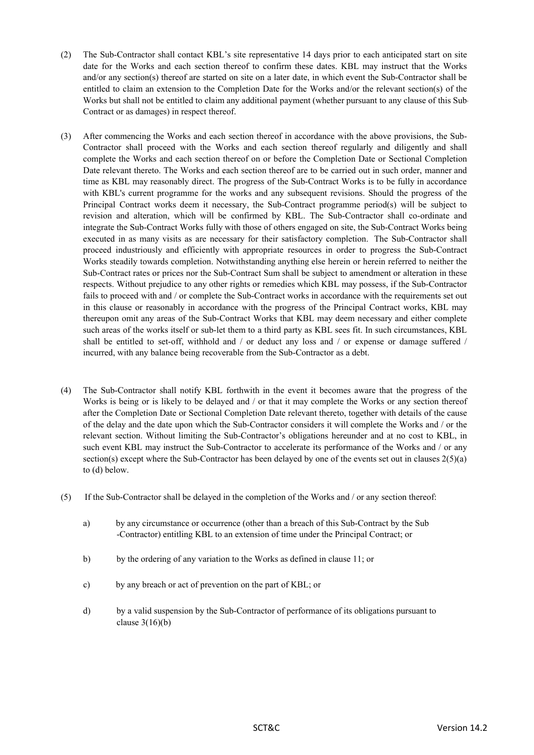- (2) The Sub-Contractor shall contact KBL's site representative 14 days prior to each anticipated start on site date for the Works and each section thereof to confirm these dates. KBL may instruct that the Works and/or any section(s) thereof are started on site on a later date, in which event the Sub-Contractor shall be entitled to claim an extension to the Completion Date for the Works and/or the relevant section(s) of the Works but shall not be entitled to claim any additional payment (whether pursuant to any clause of this Sub-Contract or as damages) in respect thereof.
- (3) After commencing the Works and each section thereof in accordance with the above provisions, the Sub-Contractor shall proceed with the Works and each section thereof regularly and diligently and shall complete the Works and each section thereof on or before the Completion Date or Sectional Completion Date relevant thereto. The Works and each section thereof are to be carried out in such order, manner and time as KBL may reasonably direct. The progress of the Sub-Contract Works is to be fully in accordance with KBL's current programme for the works and any subsequent revisions. Should the progress of the Principal Contract works deem it necessary, the Sub-Contract programme period(s) will be subject to revision and alteration, which will be confirmed by KBL. The Sub-Contractor shall co-ordinate and integrate the Sub-Contract Works fully with those of others engaged on site, the Sub-Contract Works being executed in as many visits as are necessary for their satisfactory completion. The Sub-Contractor shall proceed industriously and efficiently with appropriate resources in order to progress the Sub-Contract Works steadily towards completion. Notwithstanding anything else herein or herein referred to neither the Sub-Contract rates or prices nor the Sub-Contract Sum shall be subject to amendment or alteration in these respects. Without prejudice to any other rights or remedies which KBL may possess, if the Sub-Contractor fails to proceed with and / or complete the Sub-Contract works in accordance with the requirements set out in this clause or reasonably in accordance with the progress of the Principal Contract works, KBL may thereupon omit any areas of the Sub-Contract Works that KBL may deem necessary and either complete such areas of the works itself or sub-let them to a third party as KBL sees fit. In such circumstances, KBL shall be entitled to set-off, withhold and / or deduct any loss and / or expense or damage suffered / incurred, with any balance being recoverable from the Sub-Contractor as a debt.
- (4) The Sub-Contractor shall notify KBL forthwith in the event it becomes aware that the progress of the Works is being or is likely to be delayed and / or that it may complete the Works or any section thereof after the Completion Date or Sectional Completion Date relevant thereto, together with details of the cause of the delay and the date upon which the Sub-Contractor considers it will complete the Works and / or the relevant section. Without limiting the Sub-Contractor's obligations hereunder and at no cost to KBL, in such event KBL may instruct the Sub-Contractor to accelerate its performance of the Works and / or any section(s) except where the Sub-Contractor has been delayed by one of the events set out in clauses  $2(5)(a)$ to (d) below.
- (5) If the Sub-Contractor shall be delayed in the completion of the Works and / or any section thereof:
	- a) by any circumstance or occurrence (other than a breach of this Sub-Contract by the Sub -Contractor) entitling KBL to an extension of time under the Principal Contract; or
	- b) by the ordering of any variation to the Works as defined in clause 11; or
	- c) by any breach or act of prevention on the part of KBL; or
	- d) by a valid suspension by the Sub-Contractor of performance of its obligations pursuant to clause 3(16)(b)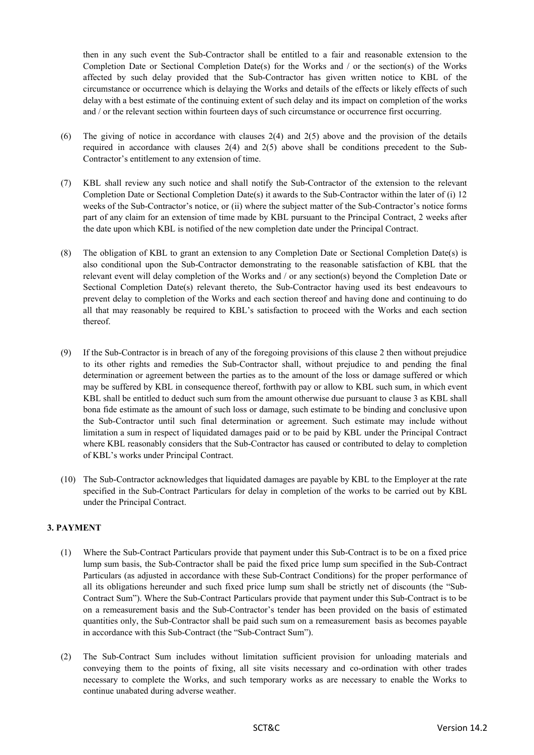then in any such event the Sub-Contractor shall be entitled to a fair and reasonable extension to the Completion Date or Sectional Completion Date(s) for the Works and / or the section(s) of the Works affected by such delay provided that the Sub-Contractor has given written notice to KBL of the circumstance or occurrence which is delaying the Works and details of the effects or likely effects of such delay with a best estimate of the continuing extent of such delay and its impact on completion of the works and / or the relevant section within fourteen days of such circumstance or occurrence first occurring.

- (6) The giving of notice in accordance with clauses 2(4) and 2(5) above and the provision of the details required in accordance with clauses 2(4) and 2(5) above shall be conditions precedent to the Sub-Contractor's entitlement to any extension of time.
- (7) KBL shall review any such notice and shall notify the Sub-Contractor of the extension to the relevant Completion Date or Sectional Completion Date(s) it awards to the Sub-Contractor within the later of (i) 12 weeks of the Sub-Contractor's notice, or (ii) where the subject matter of the Sub-Contractor's notice forms part of any claim for an extension of time made by KBL pursuant to the Principal Contract, 2 weeks after the date upon which KBL is notified of the new completion date under the Principal Contract.
- (8) The obligation of KBL to grant an extension to any Completion Date or Sectional Completion Date(s) is also conditional upon the Sub-Contractor demonstrating to the reasonable satisfaction of KBL that the relevant event will delay completion of the Works and / or any section(s) beyond the Completion Date or Sectional Completion Date(s) relevant thereto, the Sub-Contractor having used its best endeavours to prevent delay to completion of the Works and each section thereof and having done and continuing to do all that may reasonably be required to KBL's satisfaction to proceed with the Works and each section thereof.
- (9) If the Sub-Contractor is in breach of any of the foregoing provisions of this clause 2 then without prejudice to its other rights and remedies the Sub-Contractor shall, without prejudice to and pending the final determination or agreement between the parties as to the amount of the loss or damage suffered or which may be suffered by KBL in consequence thereof, forthwith pay or allow to KBL such sum, in which event KBL shall be entitled to deduct such sum from the amount otherwise due pursuant to clause 3 as KBL shall bona fide estimate as the amount of such loss or damage, such estimate to be binding and conclusive upon the Sub-Contractor until such final determination or agreement. Such estimate may include without limitation a sum in respect of liquidated damages paid or to be paid by KBL under the Principal Contract where KBL reasonably considers that the Sub-Contractor has caused or contributed to delay to completion of KBL's works under Principal Contract.
- (10) The Sub-Contractor acknowledges that liquidated damages are payable by KBL to the Employer at the rate specified in the Sub-Contract Particulars for delay in completion of the works to be carried out by KBL under the Principal Contract.

# **3. PAYMENT**

- (1) Where the Sub-Contract Particulars provide that payment under this Sub-Contract is to be on a fixed price lump sum basis, the Sub-Contractor shall be paid the fixed price lump sum specified in the Sub-Contract Particulars (as adjusted in accordance with these Sub-Contract Conditions) for the proper performance of all its obligations hereunder and such fixed price lump sum shall be strictly net of discounts (the "Sub-Contract Sum"). Where the Sub-Contract Particulars provide that payment under this Sub-Contract is to be on a remeasurement basis and the Sub-Contractor's tender has been provided on the basis of estimated quantities only, the Sub-Contractor shall be paid such sum on a remeasurement basis as becomes payable in accordance with this Sub-Contract (the "Sub-Contract Sum").
- (2) The Sub-Contract Sum includes without limitation sufficient provision for unloading materials and conveying them to the points of fixing, all site visits necessary and co-ordination with other trades necessary to complete the Works, and such temporary works as are necessary to enable the Works to continue unabated during adverse weather.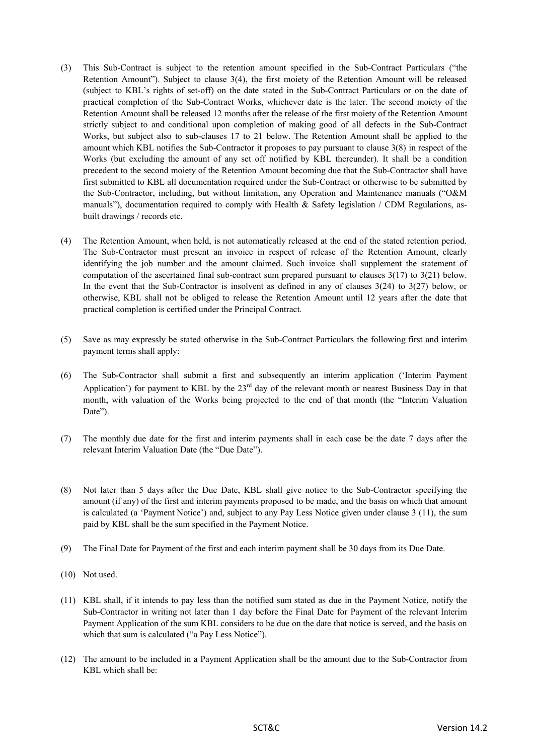- (3) This Sub-Contract is subject to the retention amount specified in the Sub-Contract Particulars ("the Retention Amount"). Subject to clause 3(4), the first moiety of the Retention Amount will be released (subject to KBL's rights of set-off) on the date stated in the Sub-Contract Particulars or on the date of practical completion of the Sub-Contract Works, whichever date is the later. The second moiety of the Retention Amount shall be released 12 months after the release of the first moiety of the Retention Amount strictly subject to and conditional upon completion of making good of all defects in the Sub-Contract Works, but subject also to sub-clauses 17 to 21 below. The Retention Amount shall be applied to the amount which KBL notifies the Sub-Contractor it proposes to pay pursuant to clause 3(8) in respect of the Works (but excluding the amount of any set off notified by KBL thereunder). It shall be a condition precedent to the second moiety of the Retention Amount becoming due that the Sub-Contractor shall have first submitted to KBL all documentation required under the Sub-Contract or otherwise to be submitted by the Sub-Contractor, including, but without limitation, any Operation and Maintenance manuals ("O&M manuals"), documentation required to comply with Health & Safety legislation / CDM Regulations, asbuilt drawings / records etc.
- (4) The Retention Amount, when held, is not automatically released at the end of the stated retention period. The Sub-Contractor must present an invoice in respect of release of the Retention Amount, clearly identifying the job number and the amount claimed. Such invoice shall supplement the statement of computation of the ascertained final sub-contract sum prepared pursuant to clauses 3(17) to 3(21) below. In the event that the Sub-Contractor is insolvent as defined in any of clauses  $3(24)$  to  $3(27)$  below, or otherwise, KBL shall not be obliged to release the Retention Amount until 12 years after the date that practical completion is certified under the Principal Contract.
- (5) Save as may expressly be stated otherwise in the Sub-Contract Particulars the following first and interim payment terms shall apply:
- (6) The Sub-Contractor shall submit a first and subsequently an interim application ('Interim Payment Application') for payment to KBL by the  $23<sup>rd</sup>$  day of the relevant month or nearest Business Day in that month, with valuation of the Works being projected to the end of that month (the "Interim Valuation Date").
- (7) The monthly due date for the first and interim payments shall in each case be the date 7 days after the relevant Interim Valuation Date (the "Due Date").
- (8) Not later than 5 days after the Due Date, KBL shall give notice to the Sub-Contractor specifying the amount (if any) of the first and interim payments proposed to be made, and the basis on which that amount is calculated (a 'Payment Notice') and, subject to any Pay Less Notice given under clause 3 (11), the sum paid by KBL shall be the sum specified in the Payment Notice.
- (9) The Final Date for Payment of the first and each interim payment shall be 30 days from its Due Date.
- (10) Not used.
- (11) KBL shall, if it intends to pay less than the notified sum stated as due in the Payment Notice, notify the Sub-Contractor in writing not later than 1 day before the Final Date for Payment of the relevant Interim Payment Application of the sum KBL considers to be due on the date that notice is served, and the basis on which that sum is calculated ("a Pay Less Notice").
- (12) The amount to be included in a Payment Application shall be the amount due to the Sub-Contractor from KBL which shall be: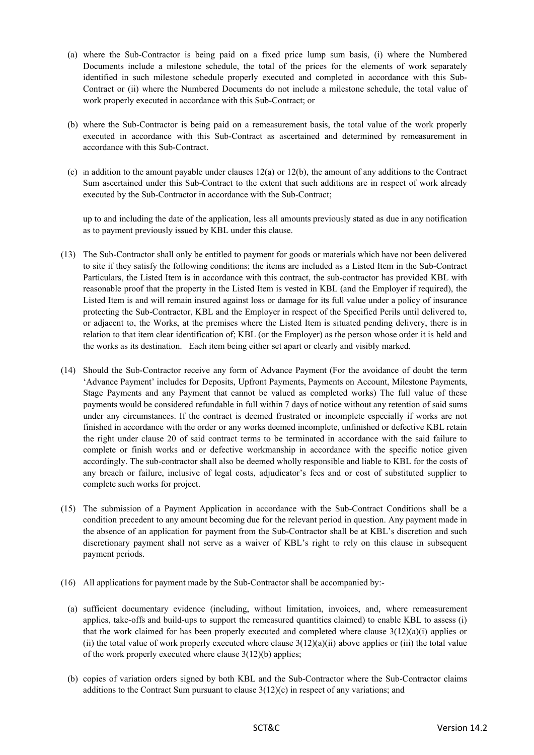- (a) where the Sub-Contractor is being paid on a fixed price lump sum basis, (i) where the Numbered Documents include a milestone schedule, the total of the prices for the elements of work separately identified in such milestone schedule properly executed and completed in accordance with this Sub-Contract or (ii) where the Numbered Documents do not include a milestone schedule, the total value of work properly executed in accordance with this Sub-Contract; or
- (b) where the Sub-Contractor is being paid on a remeasurement basis, the total value of the work properly executed in accordance with this Sub-Contract as ascertained and determined by remeasurement in accordance with this Sub-Contract.
- (c) in addition to the amount payable under clauses 12(a) or 12(b), the amount of any additions to the Contract Sum ascertained under this Sub-Contract to the extent that such additions are in respect of work already executed by the Sub-Contractor in accordance with the Sub-Contract;

up to and including the date of the application, less all amounts previously stated as due in any notification as to payment previously issued by KBL under this clause.

- (13) The Sub-Contractor shall only be entitled to payment for goods or materials which have not been delivered to site if they satisfy the following conditions; the items are included as a Listed Item in the Sub-Contract Particulars, the Listed Item is in accordance with this contract, the sub-contractor has provided KBL with reasonable proof that the property in the Listed Item is vested in KBL (and the Employer if required), the Listed Item is and will remain insured against loss or damage for its full value under a policy of insurance protecting the Sub-Contractor, KBL and the Employer in respect of the Specified Perils until delivered to, or adjacent to, the Works, at the premises where the Listed Item is situated pending delivery, there is in relation to that item clear identification of; KBL (or the Employer) as the person whose order it is held and the works as its destination. Each item being either set apart or clearly and visibly marked.
- (14) Should the Sub-Contractor receive any form of Advance Payment (For the avoidance of doubt the term 'Advance Payment' includes for Deposits, Upfront Payments, Payments on Account, Milestone Payments, Stage Payments and any Payment that cannot be valued as completed works) The full value of these payments would be considered refundable in full within 7 days of notice without any retention of said sums under any circumstances. If the contract is deemed frustrated or incomplete especially if works are not finished in accordance with the order or any works deemed incomplete, unfinished or defective KBL retain the right under clause 20 of said contract terms to be terminated in accordance with the said failure to complete or finish works and or defective workmanship in accordance with the specific notice given accordingly. The sub-contractor shall also be deemed wholly responsible and liable to KBL for the costs of any breach or failure, inclusive of legal costs, adjudicator's fees and or cost of substituted supplier to complete such works for project.
- (15) The submission of a Payment Application in accordance with the Sub-Contract Conditions shall be a condition precedent to any amount becoming due for the relevant period in question. Any payment made in the absence of an application for payment from the Sub-Contractor shall be at KBL's discretion and such discretionary payment shall not serve as a waiver of KBL's right to rely on this clause in subsequent payment periods.
- (16) All applications for payment made by the Sub-Contractor shall be accompanied by:-
	- (a) sufficient documentary evidence (including, without limitation, invoices, and, where remeasurement applies, take-offs and build-ups to support the remeasured quantities claimed) to enable KBL to assess (i) that the work claimed for has been properly executed and completed where clause  $3(12)(a)(i)$  applies or (ii) the total value of work properly executed where clause  $3(12)(a)(ii)$  above applies or (iii) the total value of the work properly executed where clause 3(12)(b) applies;
	- (b) copies of variation orders signed by both KBL and the Sub-Contractor where the Sub-Contractor claims additions to the Contract Sum pursuant to clause  $3(12)(c)$  in respect of any variations; and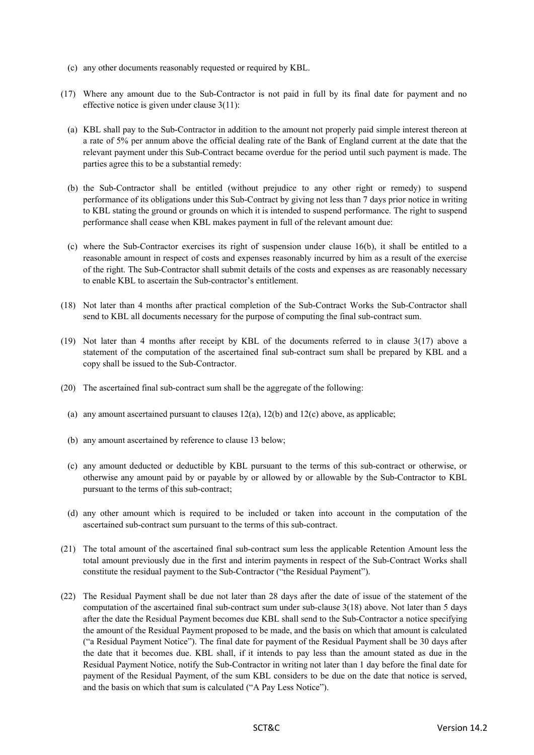- (c) any other documents reasonably requested or required by KBL.
- (17) Where any amount due to the Sub-Contractor is not paid in full by its final date for payment and no effective notice is given under clause 3(11):
	- (a) KBL shall pay to the Sub-Contractor in addition to the amount not properly paid simple interest thereon at a rate of 5% per annum above the official dealing rate of the Bank of England current at the date that the relevant payment under this Sub-Contract became overdue for the period until such payment is made. The parties agree this to be a substantial remedy:
	- (b) the Sub-Contractor shall be entitled (without prejudice to any other right or remedy) to suspend performance of its obligations under this Sub-Contract by giving not less than 7 days prior notice in writing to KBL stating the ground or grounds on which it is intended to suspend performance. The right to suspend performance shall cease when KBL makes payment in full of the relevant amount due:
	- (c) where the Sub-Contractor exercises its right of suspension under clause 16(b), it shall be entitled to a reasonable amount in respect of costs and expenses reasonably incurred by him as a result of the exercise of the right. The Sub-Contractor shall submit details of the costs and expenses as are reasonably necessary to enable KBL to ascertain the Sub-contractor's entitlement.
- (18) Not later than 4 months after practical completion of the Sub-Contract Works the Sub-Contractor shall send to KBL all documents necessary for the purpose of computing the final sub-contract sum.
- (19) Not later than 4 months after receipt by KBL of the documents referred to in clause 3(17) above a statement of the computation of the ascertained final sub-contract sum shall be prepared by KBL and a copy shall be issued to the Sub-Contractor.
- (20) The ascertained final sub-contract sum shall be the aggregate of the following:
	- (a) any amount ascertained pursuant to clauses  $12(a)$ ,  $12(b)$  and  $12(c)$  above, as applicable;
	- (b) any amount ascertained by reference to clause 13 below;
	- (c) any amount deducted or deductible by KBL pursuant to the terms of this sub-contract or otherwise, or otherwise any amount paid by or payable by or allowed by or allowable by the Sub-Contractor to KBL pursuant to the terms of this sub-contract;
	- (d) any other amount which is required to be included or taken into account in the computation of the ascertained sub-contract sum pursuant to the terms of this sub-contract.
- (21) The total amount of the ascertained final sub-contract sum less the applicable Retention Amount less the total amount previously due in the first and interim payments in respect of the Sub-Contract Works shall constitute the residual payment to the Sub-Contractor ("the Residual Payment").
- (22) The Residual Payment shall be due not later than 28 days after the date of issue of the statement of the computation of the ascertained final sub-contract sum under sub-clause 3(18) above. Not later than 5 days after the date the Residual Payment becomes due KBL shall send to the Sub-Contractor a notice specifying the amount of the Residual Payment proposed to be made, and the basis on which that amount is calculated ("a Residual Payment Notice"). The final date for payment of the Residual Payment shall be 30 days after the date that it becomes due. KBL shall, if it intends to pay less than the amount stated as due in the Residual Payment Notice, notify the Sub-Contractor in writing not later than 1 day before the final date for payment of the Residual Payment, of the sum KBL considers to be due on the date that notice is served, and the basis on which that sum is calculated ("A Pay Less Notice").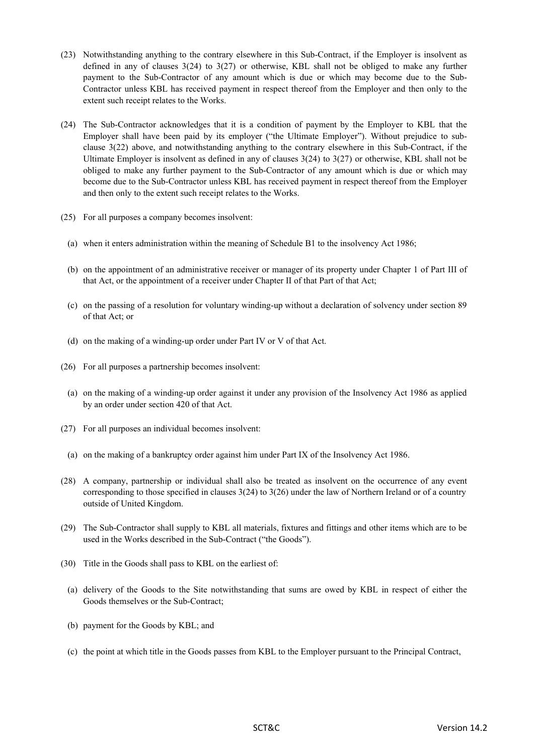- (23) Notwithstanding anything to the contrary elsewhere in this Sub-Contract, if the Employer is insolvent as defined in any of clauses 3(24) to 3(27) or otherwise, KBL shall not be obliged to make any further payment to the Sub-Contractor of any amount which is due or which may become due to the Sub-Contractor unless KBL has received payment in respect thereof from the Employer and then only to the extent such receipt relates to the Works.
- (24) The Sub-Contractor acknowledges that it is a condition of payment by the Employer to KBL that the Employer shall have been paid by its employer ("the Ultimate Employer"). Without prejudice to subclause 3(22) above, and notwithstanding anything to the contrary elsewhere in this Sub-Contract, if the Ultimate Employer is insolvent as defined in any of clauses 3(24) to 3(27) or otherwise, KBL shall not be obliged to make any further payment to the Sub-Contractor of any amount which is due or which may become due to the Sub-Contractor unless KBL has received payment in respect thereof from the Employer and then only to the extent such receipt relates to the Works.
- (25) For all purposes a company becomes insolvent:
	- (a) when it enters administration within the meaning of Schedule B1 to the insolvency Act 1986;
	- (b) on the appointment of an administrative receiver or manager of its property under Chapter 1 of Part III of that Act, or the appointment of a receiver under Chapter II of that Part of that Act;
	- (c) on the passing of a resolution for voluntary winding-up without a declaration of solvency under section 89 of that Act; or
	- (d) on the making of a winding-up order under Part IV or V of that Act.
- (26) For all purposes a partnership becomes insolvent:
	- (a) on the making of a winding-up order against it under any provision of the Insolvency Act 1986 as applied by an order under section 420 of that Act.
- (27) For all purposes an individual becomes insolvent:
	- (a) on the making of a bankruptcy order against him under Part IX of the Insolvency Act 1986.
- (28) A company, partnership or individual shall also be treated as insolvent on the occurrence of any event corresponding to those specified in clauses 3(24) to 3(26) under the law of Northern Ireland or of a country outside of United Kingdom.
- (29) The Sub-Contractor shall supply to KBL all materials, fixtures and fittings and other items which are to be used in the Works described in the Sub-Contract ("the Goods").
- (30) Title in the Goods shall pass to KBL on the earliest of:
	- (a) delivery of the Goods to the Site notwithstanding that sums are owed by KBL in respect of either the Goods themselves or the Sub-Contract;
	- (b) payment for the Goods by KBL; and
	- (c) the point at which title in the Goods passes from KBL to the Employer pursuant to the Principal Contract,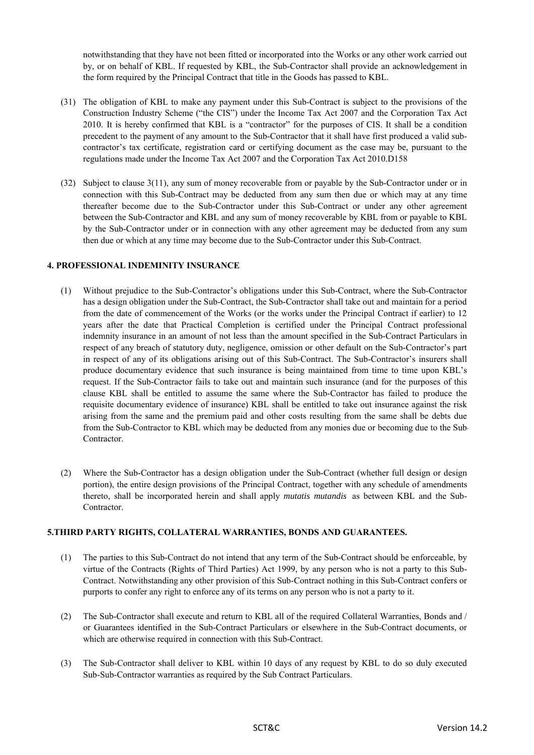notwithstanding that they have not been fitted or incorporated into the Works or any other work carried out by, or on behalf of KBL. If requested by KBL, the Sub-Contractor shall provide an acknowledgement in the form required by the Principal Contract that title in the Goods has passed to KBL.

- (31) The obligation of KBL to make any payment under this Sub-Contract is subject to the provisions of the Construction Industry Scheme ("the CIS") under the Income Tax Act 2007 and the Corporation Tax Act 2010. It is hereby confirmed that KBL is a "contractor" for the purposes of CIS. It shall be a condition precedent to the payment of any amount to the Sub-Contractor that it shall have first produced a valid subcontractor's tax certificate, registration card or certifying document as the case may be, pursuant to the regulations made under the Income Tax Act 2007 and the Corporation Tax Act 2010.D158
- (32) Subject to clause 3(11), any sum of money recoverable from or payable by the Sub-Contractor under or in connection with this Sub-Contract may be deducted from any sum then due or which may at any time thereafter become due to the Sub-Contractor under this Sub-Contract or under any other agreement between the Sub-Contractor and KBL and any sum of money recoverable by KBL from or payable to KBL by the Sub-Contractor under or in connection with any other agreement may be deducted from any sum then due or which at any time may become due to the Sub-Contractor under this Sub-Contract.

## **4. PROFESSIONAL INDEMINITY INSURANCE**

- (1) Without prejudice to the Sub-Contractor's obligations under this Sub-Contract, where the Sub-Contractor has a design obligation under the Sub-Contract, the Sub-Contractor shall take out and maintain for a period from the date of commencement of the Works (or the works under the Principal Contract if earlier) to 12 years after the date that Practical Completion is certified under the Principal Contract professional indemnity insurance in an amount of not less than the amount specified in the Sub-Contract Particulars in respect of any breach of statutory duty, negligence, omission or other default on the Sub-Contractor's part in respect of any of its obligations arising out of this Sub-Contract. The Sub-Contractor's insurers shall produce documentary evidence that such insurance is being maintained from time to time upon KBL's request. If the Sub-Contractor fails to take out and maintain such insurance (and for the purposes of this clause KBL shall be entitled to assume the same where the Sub-Contractor has failed to produce the requisite documentary evidence of insurance) KBL shall be entitled to take out insurance against the risk arising from the same and the premium paid and other costs resulting from the same shall be debts due from the Sub-Contractor to KBL which may be deducted from any monies due or becoming due to the Sub-**Contractor**
- (2) Where the Sub-Contractor has a design obligation under the Sub-Contract (whether full design or design portion), the entire design provisions of the Principal Contract, together with any schedule of amendments thereto, shall be incorporated herein and shall apply *mutatis mutandis* as between KBL and the Sub-Contractor.

#### **5.THIRD PARTY RIGHTS, COLLATERAL WARRANTIES, BONDS AND GUARANTEES.**

- (1) The parties to this Sub-Contract do not intend that any term of the Sub-Contract should be enforceable, by virtue of the Contracts (Rights of Third Parties) Act 1999, by any person who is not a party to this Sub-Contract. Notwithstanding any other provision of this Sub-Contract nothing in this Sub-Contract confers or purports to confer any right to enforce any of its terms on any person who is not a party to it.
- (2) The Sub-Contractor shall execute and return to KBL all of the required Collateral Warranties, Bonds and / or Guarantees identified in the Sub-Contract Particulars or elsewhere in the Sub-Contract documents, or which are otherwise required in connection with this Sub-Contract.
- (3) The Sub-Contractor shall deliver to KBL within 10 days of any request by KBL to do so duly executed Sub-Sub-Contractor warranties as required by the Sub Contract Particulars.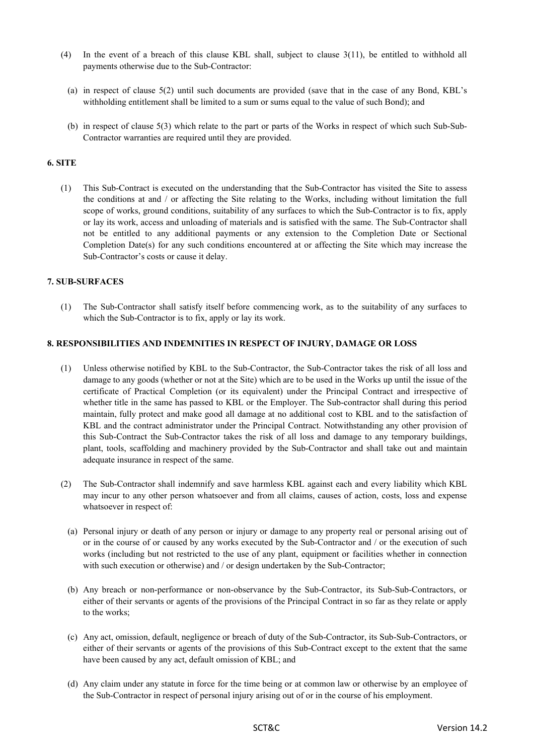- (4) In the event of a breach of this clause KBL shall, subject to clause 3(11), be entitled to withhold all payments otherwise due to the Sub-Contractor:
	- (a) in respect of clause 5(2) until such documents are provided (save that in the case of any Bond, KBL's withholding entitlement shall be limited to a sum or sums equal to the value of such Bond); and
	- (b) in respect of clause 5(3) which relate to the part or parts of the Works in respect of which such Sub-Sub-Contractor warranties are required until they are provided.

#### **6. SITE**

(1) This Sub-Contract is executed on the understanding that the Sub-Contractor has visited the Site to assess the conditions at and / or affecting the Site relating to the Works, including without limitation the full scope of works, ground conditions, suitability of any surfaces to which the Sub-Contractor is to fix, apply or lay its work, access and unloading of materials and is satisfied with the same. The Sub-Contractor shall not be entitled to any additional payments or any extension to the Completion Date or Sectional Completion Date(s) for any such conditions encountered at or affecting the Site which may increase the Sub-Contractor's costs or cause it delay.

#### **7. SUB-SURFACES**

(1) The Sub-Contractor shall satisfy itself before commencing work, as to the suitability of any surfaces to which the Sub-Contractor is to fix, apply or lay its work.

#### **8. RESPONSIBILITIES AND INDEMNITIES IN RESPECT OF INJURY, DAMAGE OR LOSS**

- (1) Unless otherwise notified by KBL to the Sub-Contractor, the Sub-Contractor takes the risk of all loss and damage to any goods (whether or not at the Site) which are to be used in the Works up until the issue of the certificate of Practical Completion (or its equivalent) under the Principal Contract and irrespective of whether title in the same has passed to KBL or the Employer. The Sub-contractor shall during this period maintain, fully protect and make good all damage at no additional cost to KBL and to the satisfaction of KBL and the contract administrator under the Principal Contract. Notwithstanding any other provision of this Sub-Contract the Sub-Contractor takes the risk of all loss and damage to any temporary buildings, plant, tools, scaffolding and machinery provided by the Sub-Contractor and shall take out and maintain adequate insurance in respect of the same.
- (2) The Sub-Contractor shall indemnify and save harmless KBL against each and every liability which KBL may incur to any other person whatsoever and from all claims, causes of action, costs, loss and expense whatsoever in respect of:
	- (a) Personal injury or death of any person or injury or damage to any property real or personal arising out of or in the course of or caused by any works executed by the Sub-Contractor and / or the execution of such works (including but not restricted to the use of any plant, equipment or facilities whether in connection with such execution or otherwise) and / or design undertaken by the Sub-Contractor;
	- (b) Any breach or non-performance or non-observance by the Sub-Contractor, its Sub-Sub-Contractors, or either of their servants or agents of the provisions of the Principal Contract in so far as they relate or apply to the works;
	- (c) Any act, omission, default, negligence or breach of duty of the Sub-Contractor, its Sub-Sub-Contractors, or either of their servants or agents of the provisions of this Sub-Contract except to the extent that the same have been caused by any act, default omission of KBL; and
	- (d) Any claim under any statute in force for the time being or at common law or otherwise by an employee of the Sub-Contractor in respect of personal injury arising out of or in the course of his employment.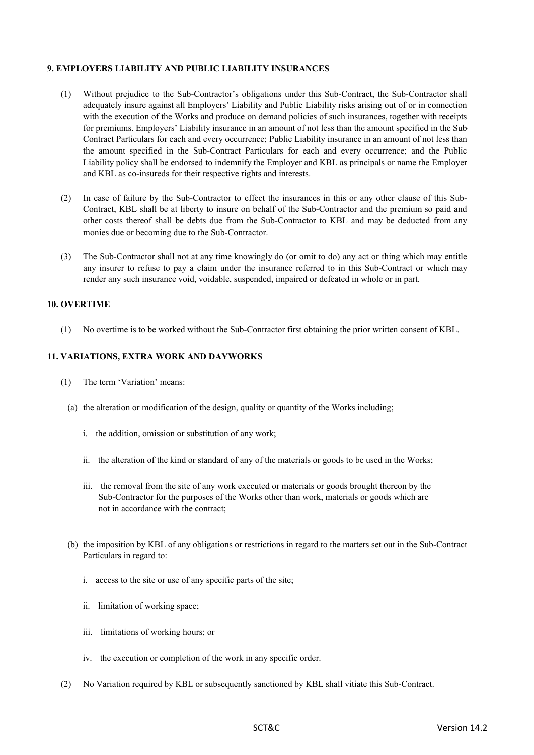#### **9. EMPLOYERS LIABILITY AND PUBLIC LIABILITY INSURANCES**

- (1) Without prejudice to the Sub-Contractor's obligations under this Sub-Contract, the Sub-Contractor shall adequately insure against all Employers' Liability and Public Liability risks arising out of or in connection with the execution of the Works and produce on demand policies of such insurances, together with receipts for premiums. Employers' Liability insurance in an amount of not less than the amount specified in the Sub-Contract Particulars for each and every occurrence; Public Liability insurance in an amount of not less than the amount specified in the Sub-Contract Particulars for each and every occurrence; and the Public Liability policy shall be endorsed to indemnify the Employer and KBL as principals or name the Employer and KBL as co-insureds for their respective rights and interests.
- (2) In case of failure by the Sub-Contractor to effect the insurances in this or any other clause of this Sub-Contract, KBL shall be at liberty to insure on behalf of the Sub-Contractor and the premium so paid and other costs thereof shall be debts due from the Sub-Contractor to KBL and may be deducted from any monies due or becoming due to the Sub-Contractor.
- (3) The Sub-Contractor shall not at any time knowingly do (or omit to do) any act or thing which may entitle any insurer to refuse to pay a claim under the insurance referred to in this Sub-Contract or which may render any such insurance void, voidable, suspended, impaired or defeated in whole or in part.

## **10. OVERTIME**

(1) No overtime is to be worked without the Sub-Contractor first obtaining the prior written consent of KBL.

## **11. VARIATIONS, EXTRA WORK AND DAYWORKS**

- (1) The term 'Variation' means:
	- (a) the alteration or modification of the design, quality or quantity of the Works including;
		- i. the addition, omission or substitution of any work;
		- ii. the alteration of the kind or standard of any of the materials or goods to be used in the Works;
		- iii. the removal from the site of any work executed or materials or goods brought thereon by the Sub-Contractor for the purposes of the Works other than work, materials or goods which are not in accordance with the contract;
	- (b) the imposition by KBL of any obligations or restrictions in regard to the matters set out in the Sub-Contract Particulars in regard to:
		- i. access to the site or use of any specific parts of the site;
		- ii. limitation of working space;
		- iii. limitations of working hours; or
		- iv. the execution or completion of the work in any specific order.
- (2) No Variation required by KBL or subsequently sanctioned by KBL shall vitiate this Sub-Contract.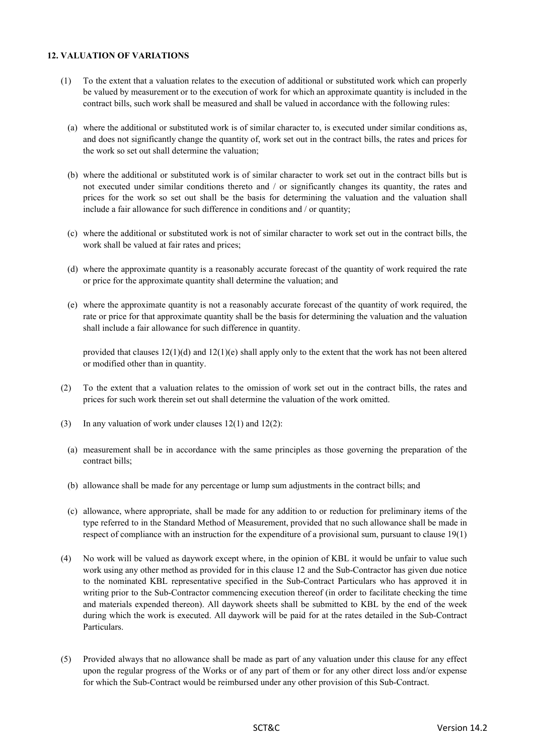## **12. VALUATION OF VARIATIONS**

- (1) To the extent that a valuation relates to the execution of additional or substituted work which can properly be valued by measurement or to the execution of work for which an approximate quantity is included in the contract bills, such work shall be measured and shall be valued in accordance with the following rules:
	- (a) where the additional or substituted work is of similar character to, is executed under similar conditions as, and does not significantly change the quantity of, work set out in the contract bills, the rates and prices for the work so set out shall determine the valuation;
	- (b) where the additional or substituted work is of similar character to work set out in the contract bills but is not executed under similar conditions thereto and / or significantly changes its quantity, the rates and prices for the work so set out shall be the basis for determining the valuation and the valuation shall include a fair allowance for such difference in conditions and / or quantity;
	- (c) where the additional or substituted work is not of similar character to work set out in the contract bills, the work shall be valued at fair rates and prices;
	- (d) where the approximate quantity is a reasonably accurate forecast of the quantity of work required the rate or price for the approximate quantity shall determine the valuation; and
	- (e) where the approximate quantity is not a reasonably accurate forecast of the quantity of work required, the rate or price for that approximate quantity shall be the basis for determining the valuation and the valuation shall include a fair allowance for such difference in quantity.

provided that clauses  $12(1)(d)$  and  $12(1)(e)$  shall apply only to the extent that the work has not been altered or modified other than in quantity.

- (2) To the extent that a valuation relates to the omission of work set out in the contract bills, the rates and prices for such work therein set out shall determine the valuation of the work omitted.
- (3) In any valuation of work under clauses 12(1) and 12(2):
- (a) measurement shall be in accordance with the same principles as those governing the preparation of the contract bills;
- (b) allowance shall be made for any percentage or lump sum adjustments in the contract bills; and
- (c) allowance, where appropriate, shall be made for any addition to or reduction for preliminary items of the type referred to in the Standard Method of Measurement, provided that no such allowance shall be made in respect of compliance with an instruction for the expenditure of a provisional sum, pursuant to clause 19(1)
- (4) No work will be valued as daywork except where, in the opinion of KBL it would be unfair to value such work using any other method as provided for in this clause 12 and the Sub-Contractor has given due notice to the nominated KBL representative specified in the Sub-Contract Particulars who has approved it in writing prior to the Sub-Contractor commencing execution thereof (in order to facilitate checking the time and materials expended thereon). All daywork sheets shall be submitted to KBL by the end of the week during which the work is executed. All daywork will be paid for at the rates detailed in the Sub-Contract Particulars.
- (5) Provided always that no allowance shall be made as part of any valuation under this clause for any effect upon the regular progress of the Works or of any part of them or for any other direct loss and/or expense for which the Sub-Contract would be reimbursed under any other provision of this Sub-Contract.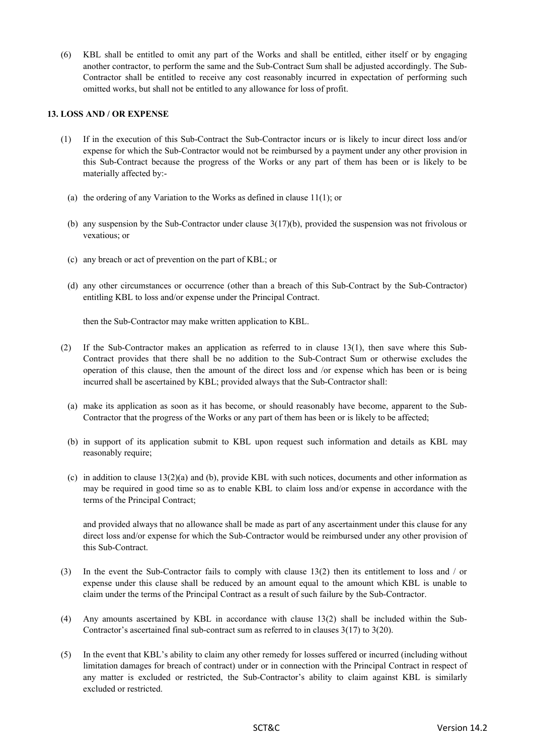(6) KBL shall be entitled to omit any part of the Works and shall be entitled, either itself or by engaging another contractor, to perform the same and the Sub-Contract Sum shall be adjusted accordingly. The Sub-Contractor shall be entitled to receive any cost reasonably incurred in expectation of performing such omitted works, but shall not be entitled to any allowance for loss of profit.

# **13. LOSS AND / OR EXPENSE**

- (1) If in the execution of this Sub-Contract the Sub-Contractor incurs or is likely to incur direct loss and/or expense for which the Sub-Contractor would not be reimbursed by a payment under any other provision in this Sub-Contract because the progress of the Works or any part of them has been or is likely to be materially affected by:-
	- (a) the ordering of any Variation to the Works as defined in clause 11(1); or
	- (b) any suspension by the Sub-Contractor under clause 3(17)(b), provided the suspension was not frivolous or vexatious; or
	- (c) any breach or act of prevention on the part of KBL; or
	- (d) any other circumstances or occurrence (other than a breach of this Sub-Contract by the Sub-Contractor) entitling KBL to loss and/or expense under the Principal Contract.

then the Sub-Contractor may make written application to KBL.

- (2) If the Sub-Contractor makes an application as referred to in clause 13(1), then save where this Sub-Contract provides that there shall be no addition to the Sub-Contract Sum or otherwise excludes the operation of this clause, then the amount of the direct loss and /or expense which has been or is being incurred shall be ascertained by KBL; provided always that the Sub-Contractor shall:
	- (a) make its application as soon as it has become, or should reasonably have become, apparent to the Sub-Contractor that the progress of the Works or any part of them has been or is likely to be affected;
	- (b) in support of its application submit to KBL upon request such information and details as KBL may reasonably require;
	- (c) in addition to clause 13(2)(a) and (b), provide KBL with such notices, documents and other information as may be required in good time so as to enable KBL to claim loss and/or expense in accordance with the terms of the Principal Contract;

and provided always that no allowance shall be made as part of any ascertainment under this clause for any direct loss and/or expense for which the Sub-Contractor would be reimbursed under any other provision of this Sub-Contract.

- (3) In the event the Sub-Contractor fails to comply with clause 13(2) then its entitlement to loss and / or expense under this clause shall be reduced by an amount equal to the amount which KBL is unable to claim under the terms of the Principal Contract as a result of such failure by the Sub-Contractor.
- (4) Any amounts ascertained by KBL in accordance with clause 13(2) shall be included within the Sub-Contractor's ascertained final sub-contract sum as referred to in clauses 3(17) to 3(20).
- (5) In the event that KBL's ability to claim any other remedy for losses suffered or incurred (including without limitation damages for breach of contract) under or in connection with the Principal Contract in respect of any matter is excluded or restricted, the Sub-Contractor's ability to claim against KBL is similarly excluded or restricted.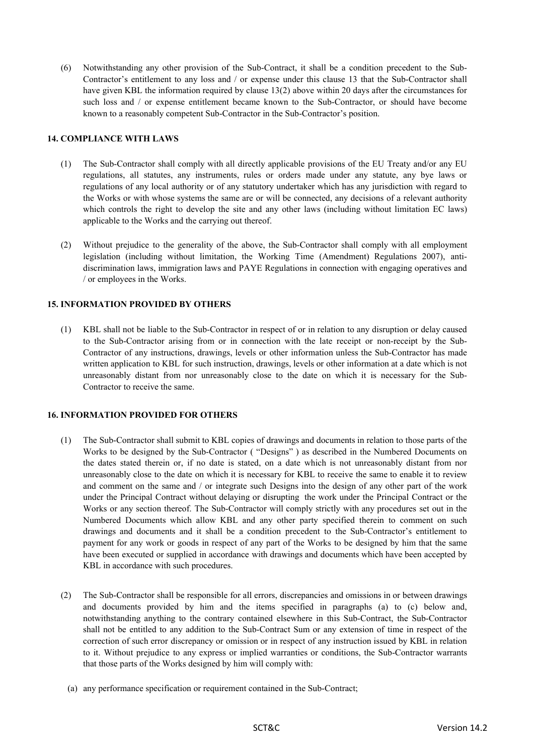(6) Notwithstanding any other provision of the Sub-Contract, it shall be a condition precedent to the Sub-Contractor's entitlement to any loss and / or expense under this clause 13 that the Sub-Contractor shall have given KBL the information required by clause 13(2) above within 20 days after the circumstances for such loss and / or expense entitlement became known to the Sub-Contractor, or should have become known to a reasonably competent Sub-Contractor in the Sub-Contractor's position.

## **14. COMPLIANCE WITH LAWS**

- (1) The Sub-Contractor shall comply with all directly applicable provisions of the EU Treaty and/or any EU regulations, all statutes, any instruments, rules or orders made under any statute, any bye laws or regulations of any local authority or of any statutory undertaker which has any jurisdiction with regard to the Works or with whose systems the same are or will be connected, any decisions of a relevant authority which controls the right to develop the site and any other laws (including without limitation EC laws) applicable to the Works and the carrying out thereof.
- (2) Without prejudice to the generality of the above, the Sub-Contractor shall comply with all employment legislation (including without limitation, the Working Time (Amendment) Regulations 2007), antidiscrimination laws, immigration laws and PAYE Regulations in connection with engaging operatives and / or employees in the Works.

## **15. INFORMATION PROVIDED BY OTHERS**

(1) KBL shall not be liable to the Sub-Contractor in respect of or in relation to any disruption or delay caused to the Sub-Contractor arising from or in connection with the late receipt or non-receipt by the Sub-Contractor of any instructions, drawings, levels or other information unless the Sub-Contractor has made written application to KBL for such instruction, drawings, levels or other information at a date which is not unreasonably distant from nor unreasonably close to the date on which it is necessary for the Sub-Contractor to receive the same.

#### **16. INFORMATION PROVIDED FOR OTHERS**

- (1) The Sub-Contractor shall submit to KBL copies of drawings and documents in relation to those parts of the Works to be designed by the Sub-Contractor ( "Designs" ) as described in the Numbered Documents on the dates stated therein or, if no date is stated, on a date which is not unreasonably distant from nor unreasonably close to the date on which it is necessary for KBL to receive the same to enable it to review and comment on the same and / or integrate such Designs into the design of any other part of the work under the Principal Contract without delaying or disrupting the work under the Principal Contract or the Works or any section thereof. The Sub-Contractor will comply strictly with any procedures set out in the Numbered Documents which allow KBL and any other party specified therein to comment on such drawings and documents and it shall be a condition precedent to the Sub-Contractor's entitlement to payment for any work or goods in respect of any part of the Works to be designed by him that the same have been executed or supplied in accordance with drawings and documents which have been accepted by KBL in accordance with such procedures.
- (2) The Sub-Contractor shall be responsible for all errors, discrepancies and omissions in or between drawings and documents provided by him and the items specified in paragraphs (a) to (c) below and, notwithstanding anything to the contrary contained elsewhere in this Sub-Contract, the Sub-Contractor shall not be entitled to any addition to the Sub-Contract Sum or any extension of time in respect of the correction of such error discrepancy or omission or in respect of any instruction issued by KBL in relation to it. Without prejudice to any express or implied warranties or conditions, the Sub-Contractor warrants that those parts of the Works designed by him will comply with:
	- (a) any performance specification or requirement contained in the Sub-Contract;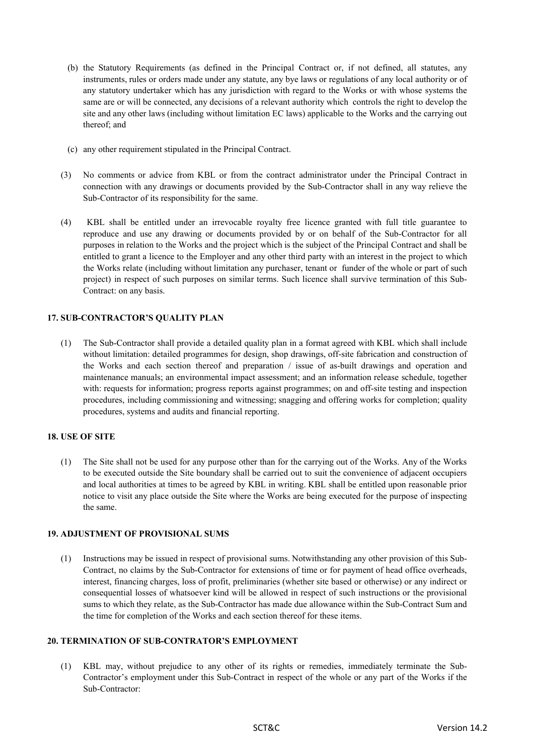- (b) the Statutory Requirements (as defined in the Principal Contract or, if not defined, all statutes, any instruments, rules or orders made under any statute, any bye laws or regulations of any local authority or of any statutory undertaker which has any jurisdiction with regard to the Works or with whose systems the same are or will be connected, any decisions of a relevant authority which controls the right to develop the site and any other laws (including without limitation EC laws) applicable to the Works and the carrying out thereof; and
- (c) any other requirement stipulated in the Principal Contract.
- (3) No comments or advice from KBL or from the contract administrator under the Principal Contract in connection with any drawings or documents provided by the Sub-Contractor shall in any way relieve the Sub-Contractor of its responsibility for the same.
- (4) KBL shall be entitled under an irrevocable royalty free licence granted with full title guarantee to reproduce and use any drawing or documents provided by or on behalf of the Sub-Contractor for all purposes in relation to the Works and the project which is the subject of the Principal Contract and shall be entitled to grant a licence to the Employer and any other third party with an interest in the project to which the Works relate (including without limitation any purchaser, tenant or funder of the whole or part of such project) in respect of such purposes on similar terms. Such licence shall survive termination of this Sub-Contract: on any basis.

## **17. SUB-CONTRACTOR'S QUALITY PLAN**

(1) The Sub-Contractor shall provide a detailed quality plan in a format agreed with KBL which shall include without limitation: detailed programmes for design, shop drawings, off-site fabrication and construction of the Works and each section thereof and preparation / issue of as-built drawings and operation and maintenance manuals; an environmental impact assessment; and an information release schedule, together with: requests for information; progress reports against programmes; on and off-site testing and inspection procedures, including commissioning and witnessing; snagging and offering works for completion; quality procedures, systems and audits and financial reporting.

## **18. USE OF SITE**

(1) The Site shall not be used for any purpose other than for the carrying out of the Works. Any of the Works to be executed outside the Site boundary shall be carried out to suit the convenience of adjacent occupiers and local authorities at times to be agreed by KBL in writing. KBL shall be entitled upon reasonable prior notice to visit any place outside the Site where the Works are being executed for the purpose of inspecting the same.

#### **19. ADJUSTMENT OF PROVISIONAL SUMS**

(1) Instructions may be issued in respect of provisional sums. Notwithstanding any other provision of this Sub-Contract, no claims by the Sub-Contractor for extensions of time or for payment of head office overheads, interest, financing charges, loss of profit, preliminaries (whether site based or otherwise) or any indirect or consequential losses of whatsoever kind will be allowed in respect of such instructions or the provisional sums to which they relate, as the Sub-Contractor has made due allowance within the Sub-Contract Sum and the time for completion of the Works and each section thereof for these items.

#### **20. TERMINATION OF SUB-CONTRATOR'S EMPLOYMENT**

(1) KBL may, without prejudice to any other of its rights or remedies, immediately terminate the Sub-Contractor's employment under this Sub-Contract in respect of the whole or any part of the Works if the Sub-Contractor: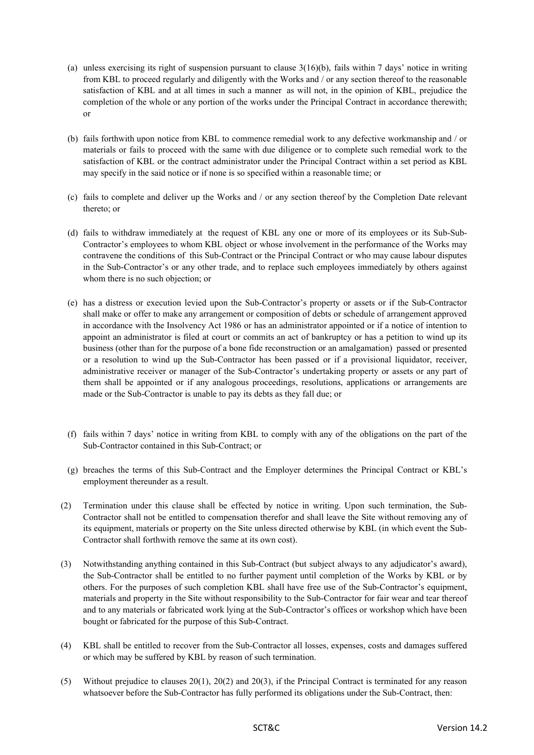- (a) unless exercising its right of suspension pursuant to clause  $3(16)(b)$ , fails within 7 days' notice in writing from KBL to proceed regularly and diligently with the Works and / or any section thereof to the reasonable satisfaction of KBL and at all times in such a manner as will not, in the opinion of KBL, prejudice the completion of the whole or any portion of the works under the Principal Contract in accordance therewith; or
- (b) fails forthwith upon notice from KBL to commence remedial work to any defective workmanship and / or materials or fails to proceed with the same with due diligence or to complete such remedial work to the satisfaction of KBL or the contract administrator under the Principal Contract within a set period as KBL may specify in the said notice or if none is so specified within a reasonable time; or
- (c) fails to complete and deliver up the Works and / or any section thereof by the Completion Date relevant thereto; or
- (d) fails to withdraw immediately at the request of KBL any one or more of its employees or its Sub-Sub-Contractor's employees to whom KBL object or whose involvement in the performance of the Works may contravene the conditions of this Sub-Contract or the Principal Contract or who may cause labour disputes in the Sub-Contractor's or any other trade, and to replace such employees immediately by others against whom there is no such objection; or
- (e) has a distress or execution levied upon the Sub-Contractor's property or assets or if the Sub-Contractor shall make or offer to make any arrangement or composition of debts or schedule of arrangement approved in accordance with the Insolvency Act 1986 or has an administrator appointed or if a notice of intention to appoint an administrator is filed at court or commits an act of bankruptcy or has a petition to wind up its business (other than for the purpose of a bone fide reconstruction or an amalgamation) passed or presented or a resolution to wind up the Sub-Contractor has been passed or if a provisional liquidator, receiver, administrative receiver or manager of the Sub-Contractor's undertaking property or assets or any part of them shall be appointed or if any analogous proceedings, resolutions, applications or arrangements are made or the Sub-Contractor is unable to pay its debts as they fall due; or
- (f) fails within 7 days' notice in writing from KBL to comply with any of the obligations on the part of the Sub-Contractor contained in this Sub-Contract; or
- (g) breaches the terms of this Sub-Contract and the Employer determines the Principal Contract or KBL's employment thereunder as a result.
- (2) Termination under this clause shall be effected by notice in writing. Upon such termination, the Sub-Contractor shall not be entitled to compensation therefor and shall leave the Site without removing any of its equipment, materials or property on the Site unless directed otherwise by KBL (in which event the Sub-Contractor shall forthwith remove the same at its own cost).
- (3) Notwithstanding anything contained in this Sub-Contract (but subject always to any adjudicator's award), the Sub-Contractor shall be entitled to no further payment until completion of the Works by KBL or by others. For the purposes of such completion KBL shall have free use of the Sub-Contractor's equipment, materials and property in the Site without responsibility to the Sub-Contractor for fair wear and tear thereof and to any materials or fabricated work lying at the Sub-Contractor's offices or workshop which have been bought or fabricated for the purpose of this Sub-Contract.
- (4) KBL shall be entitled to recover from the Sub-Contractor all losses, expenses, costs and damages suffered or which may be suffered by KBL by reason of such termination.
- (5) Without prejudice to clauses 20(1), 20(2) and 20(3), if the Principal Contract is terminated for any reason whatsoever before the Sub-Contractor has fully performed its obligations under the Sub-Contract, then: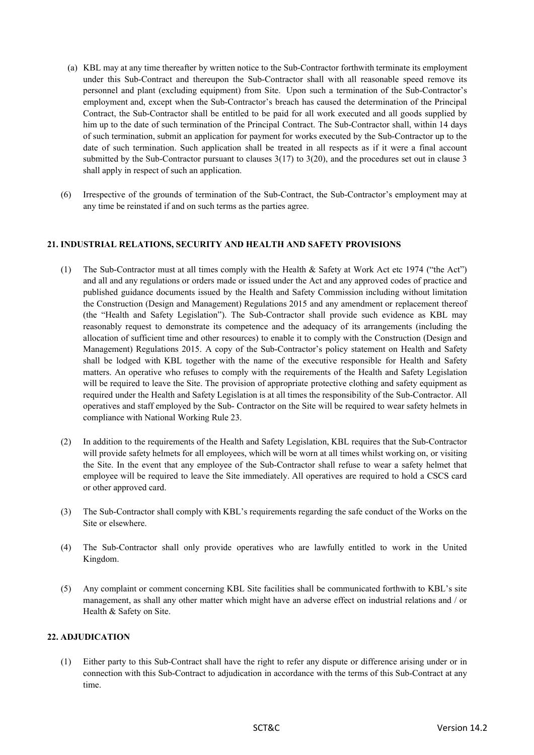- (a) KBL may at any time thereafter by written notice to the Sub-Contractor forthwith terminate its employment under this Sub-Contract and thereupon the Sub-Contractor shall with all reasonable speed remove its personnel and plant (excluding equipment) from Site. Upon such a termination of the Sub-Contractor's employment and, except when the Sub-Contractor's breach has caused the determination of the Principal Contract, the Sub-Contractor shall be entitled to be paid for all work executed and all goods supplied by him up to the date of such termination of the Principal Contract. The Sub-Contractor shall, within 14 days of such termination, submit an application for payment for works executed by the Sub-Contractor up to the date of such termination. Such application shall be treated in all respects as if it were a final account submitted by the Sub-Contractor pursuant to clauses 3(17) to 3(20), and the procedures set out in clause 3 shall apply in respect of such an application.
- (6) Irrespective of the grounds of termination of the Sub-Contract, the Sub-Contractor's employment may at any time be reinstated if and on such terms as the parties agree.

## **21. INDUSTRIAL RELATIONS, SECURITY AND HEALTH AND SAFETY PROVISIONS**

- (1) The Sub-Contractor must at all times comply with the Health & Safety at Work Act etc 1974 ("the Act") and all and any regulations or orders made or issued under the Act and any approved codes of practice and published guidance documents issued by the Health and Safety Commission including without limitation the Construction (Design and Management) Regulations 2015 and any amendment or replacement thereof (the "Health and Safety Legislation"). The Sub-Contractor shall provide such evidence as KBL may reasonably request to demonstrate its competence and the adequacy of its arrangements (including the allocation of sufficient time and other resources) to enable it to comply with the Construction (Design and Management) Regulations 2015. A copy of the Sub-Contractor's policy statement on Health and Safety shall be lodged with KBL together with the name of the executive responsible for Health and Safety matters. An operative who refuses to comply with the requirements of the Health and Safety Legislation will be required to leave the Site. The provision of appropriate protective clothing and safety equipment as required under the Health and Safety Legislation is at all times the responsibility of the Sub-Contractor. All operatives and staff employed by the Sub- Contractor on the Site will be required to wear safety helmets in compliance with National Working Rule 23.
- (2) In addition to the requirements of the Health and Safety Legislation, KBL requires that the Sub-Contractor will provide safety helmets for all employees, which will be worn at all times whilst working on, or visiting the Site. In the event that any employee of the Sub-Contractor shall refuse to wear a safety helmet that employee will be required to leave the Site immediately. All operatives are required to hold a CSCS card or other approved card.
- (3) The Sub-Contractor shall comply with KBL's requirements regarding the safe conduct of the Works on the Site or elsewhere.
- (4) The Sub-Contractor shall only provide operatives who are lawfully entitled to work in the United Kingdom.
- (5) Any complaint or comment concerning KBL Site facilities shall be communicated forthwith to KBL's site management, as shall any other matter which might have an adverse effect on industrial relations and / or Health & Safety on Site.

### **22. ADJUDICATION**

(1) Either party to this Sub-Contract shall have the right to refer any dispute or difference arising under or in connection with this Sub-Contract to adjudication in accordance with the terms of this Sub-Contract at any time.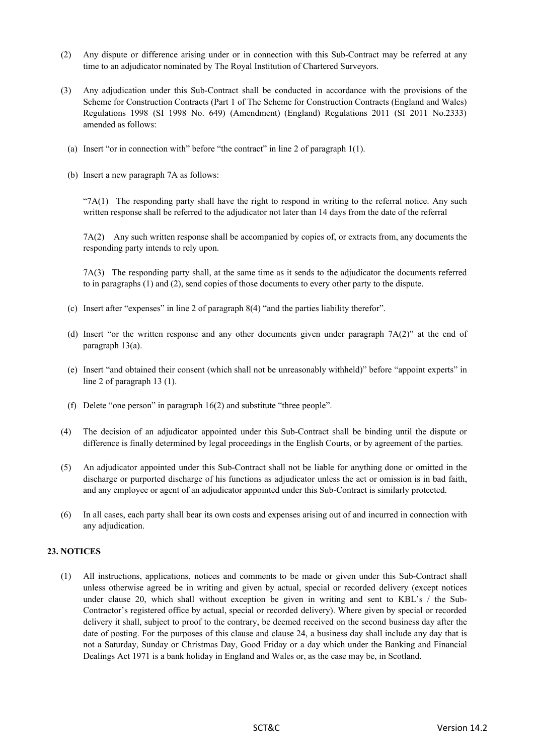- (2) Any dispute or difference arising under or in connection with this Sub-Contract may be referred at any time to an adjudicator nominated by The Royal Institution of Chartered Surveyors.
- (3) Any adjudication under this Sub-Contract shall be conducted in accordance with the provisions of the Scheme for Construction Contracts (Part 1 of The Scheme for Construction Contracts (England and Wales) Regulations 1998 (SI 1998 No. 649) (Amendment) (England) Regulations 2011 (SI 2011 No.2333) amended as follows:
	- (a) Insert "or in connection with" before "the contract" in line 2 of paragraph 1(1).
	- (b) Insert a new paragraph 7A as follows:

"7A(1) The responding party shall have the right to respond in writing to the referral notice. Any such written response shall be referred to the adjudicator not later than 14 days from the date of the referral

7A(2) Any such written response shall be accompanied by copies of, or extracts from, any documents the responding party intends to rely upon.

7A(3) The responding party shall, at the same time as it sends to the adjudicator the documents referred to in paragraphs (1) and (2), send copies of those documents to every other party to the dispute.

- (c) Insert after "expenses" in line 2 of paragraph 8(4) "and the parties liability therefor".
- (d) Insert "or the written response and any other documents given under paragraph 7A(2)" at the end of paragraph 13(a).
- (e) Insert "and obtained their consent (which shall not be unreasonably withheld)" before "appoint experts" in line 2 of paragraph 13 (1).
- (f) Delete "one person" in paragraph 16(2) and substitute "three people".
- (4) The decision of an adjudicator appointed under this Sub-Contract shall be binding until the dispute or difference is finally determined by legal proceedings in the English Courts, or by agreement of the parties.
- (5) An adjudicator appointed under this Sub-Contract shall not be liable for anything done or omitted in the discharge or purported discharge of his functions as adjudicator unless the act or omission is in bad faith, and any employee or agent of an adjudicator appointed under this Sub-Contract is similarly protected.
- (6) In all cases, each party shall bear its own costs and expenses arising out of and incurred in connection with any adjudication.

# **23. NOTICES**

(1) All instructions, applications, notices and comments to be made or given under this Sub-Contract shall unless otherwise agreed be in writing and given by actual, special or recorded delivery (except notices under clause 20, which shall without exception be given in writing and sent to KBL's / the Sub-Contractor's registered office by actual, special or recorded delivery). Where given by special or recorded delivery it shall, subject to proof to the contrary, be deemed received on the second business day after the date of posting. For the purposes of this clause and clause 24, a business day shall include any day that is not a Saturday, Sunday or Christmas Day, Good Friday or a day which under the Banking and Financial Dealings Act 1971 is a bank holiday in England and Wales or, as the case may be, in Scotland.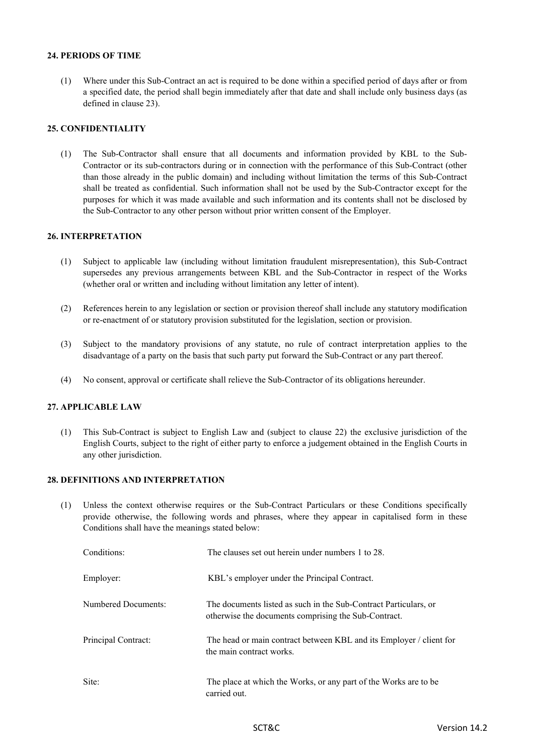#### **24. PERIODS OF TIME**

(1) Where under this Sub-Contract an act is required to be done within a specified period of days after or from a specified date, the period shall begin immediately after that date and shall include only business days (as defined in clause 23).

#### **25. CONFIDENTIALITY**

(1) The Sub-Contractor shall ensure that all documents and information provided by KBL to the Sub-Contractor or its sub-contractors during or in connection with the performance of this Sub-Contract (other than those already in the public domain) and including without limitation the terms of this Sub-Contract shall be treated as confidential. Such information shall not be used by the Sub-Contractor except for the purposes for which it was made available and such information and its contents shall not be disclosed by the Sub-Contractor to any other person without prior written consent of the Employer.

## **26. INTERPRETATION**

- (1) Subject to applicable law (including without limitation fraudulent misrepresentation), this Sub-Contract supersedes any previous arrangements between KBL and the Sub-Contractor in respect of the Works (whether oral or written and including without limitation any letter of intent).
- (2) References herein to any legislation or section or provision thereof shall include any statutory modification or re-enactment of or statutory provision substituted for the legislation, section or provision.
- (3) Subject to the mandatory provisions of any statute, no rule of contract interpretation applies to the disadvantage of a party on the basis that such party put forward the Sub-Contract or any part thereof.
- (4) No consent, approval or certificate shall relieve the Sub-Contractor of its obligations hereunder.

# **27. APPLICABLE LAW**

(1) This Sub-Contract is subject to English Law and (subject to clause 22) the exclusive jurisdiction of the English Courts, subject to the right of either party to enforce a judgement obtained in the English Courts in any other jurisdiction.

## **28. DEFINITIONS AND INTERPRETATION**

(1) Unless the context otherwise requires or the Sub-Contract Particulars or these Conditions specifically provide otherwise, the following words and phrases, where they appear in capitalised form in these Conditions shall have the meanings stated below:

| Conditions:         | The clauses set out herein under numbers 1 to 28.                                                                        |
|---------------------|--------------------------------------------------------------------------------------------------------------------------|
| Employer:           | KBL's employer under the Principal Contract.                                                                             |
| Numbered Documents: | The documents listed as such in the Sub-Contract Particulars, or<br>otherwise the documents comprising the Sub-Contract. |
| Principal Contract: | The head or main contract between KBL and its Employer / client for<br>the main contract works.                          |
| Site:               | The place at which the Works, or any part of the Works are to be<br>carried out.                                         |